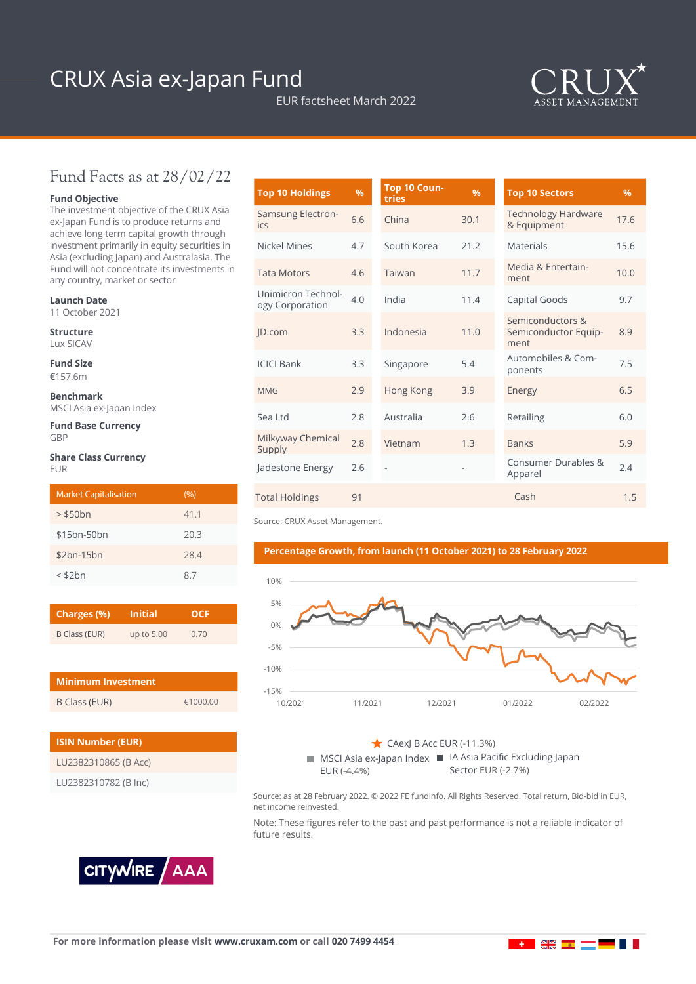# CRUX Asia ex-Japan Fund

EUR factsheet March 2022



### Fund Facts as at 28/02/22

#### **Fund Objective**

The investment objective of the CRUX Asia ex-Japan Fund is to produce returns and achieve long term capital growth through investment primarily in equity securities in Asia (excluding Japan) and Australasia. The Fund will not concentrate its investments in any country, market or sector

#### **Launch Date**

11 October 2021

**Structure** Lux SICAV

**Fund Size**

€157.6m

**Benchmark** MSCI Asia ex-Japan Index

**Fund Base Currency** GBP

#### **Share Class Currency** EUR

| <b>Market Capitalisation</b> | (9/0) |
|------------------------------|-------|
| $>$ \$50 $bn$                | 41.1  |
| \$15bn-50bn                  | 20.3  |
| $$2bn-15bn$                  | 28.4  |
| $<$ \$2 $bn$                 | 87    |

| Charges (%)   | <b>Initial</b> | <b>OCF</b> |  |  |
|---------------|----------------|------------|--|--|
| B Class (EUR) | up to 5.00     | 0.70       |  |  |

| <b>Minimum Investment</b> |          |  |  |  |
|---------------------------|----------|--|--|--|
| B Class (EUR)             | £1000.00 |  |  |  |

| <b>ISIN Number (EUR)</b> |  |  |  |  |
|--------------------------|--|--|--|--|
| LU2382310865 (B Acc)     |  |  |  |  |
| LU2382310782 (B Inc)     |  |  |  |  |

| <b>Top 10 Holdings</b>                | $\frac{9}{6}$ | Top 10 Coun-<br>tries | %    | <b>Top 10 Sectors</b>                            | $\%$ |
|---------------------------------------|---------------|-----------------------|------|--------------------------------------------------|------|
| <b>Samsung Electron-</b><br>ics       | 6.6           | China                 | 30.1 | <b>Technology Hardware</b><br>& Equipment        | 17.6 |
| Nickel Mines                          | 4.7           | South Korea           | 21.2 | <b>Materials</b>                                 | 15.6 |
| <b>Tata Motors</b>                    | 4.6           | Taiwan                | 11.7 | Media & Entertain-<br>ment                       | 10.0 |
| Unimicron Technol-<br>ogy Corporation | 4.0           | India                 | 11.4 | Capital Goods                                    | 9.7  |
| ID.com                                | 3.3           | Indonesia             | 11.0 | Semiconductors &<br>Semiconductor Equip-<br>ment | 8.9  |
| <b>ICICI Bank</b>                     | 3.3           | Singapore             | 5.4  | Automobiles & Com-<br>ponents                    | 7.5  |
| <b>MMG</b>                            | 2.9           | Hong Kong             | 3.9  | Energy                                           | 6.5  |
| Sea Ltd                               | 2.8           | Australia             | 2.6  | Retailing                                        | 6.0  |
| Milkyway Chemical<br>Supply           | 2.8           | Vietnam               | 1.3  | <b>Banks</b>                                     | 5.9  |
| Jadestone Energy                      | 2.6           |                       |      | Consumer Durables &<br>Apparel                   | 2.4  |
| <b>Total Holdings</b>                 | 91            |                       |      | Cash                                             | 1.5  |

Source: CRUX Asset Management.

#### **Percentage Growth, from launch (11 October 2021) to 28 February 2022**



MSCI Asia ex-Japan Index ■ IA Asia Pacific Excluding Japan EUR (-4.4%)  $\sim$  CAexJ B Acc EUR (-11.3%) Sector EUR (-2.7%)

Source: as at 28 February 2022. © 2022 FE fundinfo. All Rights Reserved. Total return, Bid-bid in EUR, net income reinvested.

Note: These figures refer to the past and past performance is not a reliable indicator of future results.